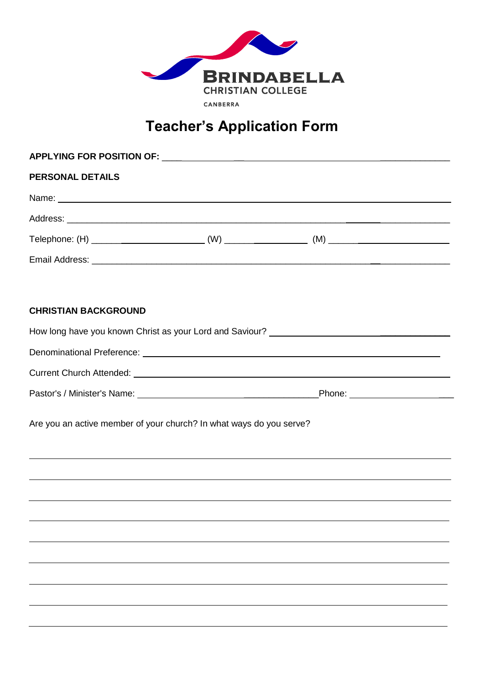

# **Teacher's Application Form**

| <b>PERSONAL DETAILS</b>     |                                                                                  |  |  |  |  |
|-----------------------------|----------------------------------------------------------------------------------|--|--|--|--|
|                             |                                                                                  |  |  |  |  |
|                             |                                                                                  |  |  |  |  |
|                             |                                                                                  |  |  |  |  |
|                             |                                                                                  |  |  |  |  |
|                             |                                                                                  |  |  |  |  |
| <b>CHRISTIAN BACKGROUND</b> |                                                                                  |  |  |  |  |
|                             |                                                                                  |  |  |  |  |
|                             |                                                                                  |  |  |  |  |
|                             |                                                                                  |  |  |  |  |
|                             |                                                                                  |  |  |  |  |
|                             | Are you an active member of your church? In what ways do you serve?              |  |  |  |  |
|                             |                                                                                  |  |  |  |  |
|                             | ,我们也不会有什么。""我们的人,我们也不会有什么?""我们的人,我们也不会有什么?""我们的人,我们也不会有什么?""我们的人,我们也不会有什么?""我们的人 |  |  |  |  |
|                             | ,我们也不会有什么?""我们的人,我们也不会有什么?""我们的人,我们也不会有什么?""我们的人,我们也不会有什么?""我们的人,我们也不会有什么?""我们的人 |  |  |  |  |
|                             |                                                                                  |  |  |  |  |
|                             |                                                                                  |  |  |  |  |
|                             |                                                                                  |  |  |  |  |
|                             |                                                                                  |  |  |  |  |
|                             |                                                                                  |  |  |  |  |
|                             |                                                                                  |  |  |  |  |
|                             |                                                                                  |  |  |  |  |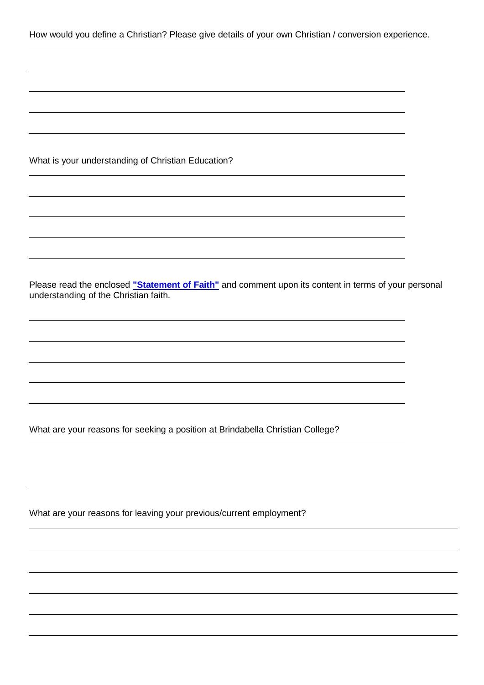How would you define a Christian? Please give details of your own Christian / conversion experience.

What is your understanding of Christian Education?

Please read the enclosed **["Statement of Faith"](http://www.bcc.act.edu.au/lyneham/why-choose-bcc/message-from-principal/statement-of-faith)** and comment upon its content in terms of your personal understanding of the Christian faith.

What are your reasons for seeking a position at Brindabella Christian College?

What are your reasons for leaving your previous/current employment?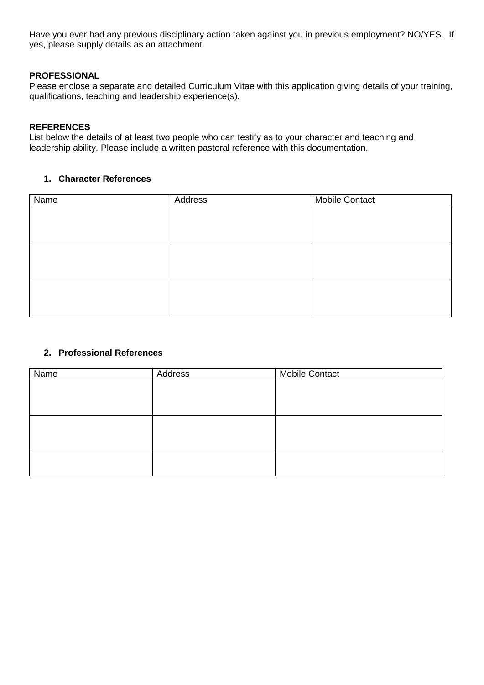Have you ever had any previous disciplinary action taken against you in previous employment? NO/YES. If yes, please supply details as an attachment.

### **PROFESSIONAL**

Please enclose a separate and detailed Curriculum Vitae with this application giving details of your training, qualifications, teaching and leadership experience(s).

### **REFERENCES**

List below the details of at least two people who can testify as to your character and teaching and leadership ability. Please include a written pastoral reference with this documentation.

### **1. Character References**

| Name | Address | <b>Mobile Contact</b> |
|------|---------|-----------------------|
|      |         |                       |
|      |         |                       |
|      |         |                       |
|      |         |                       |
|      |         |                       |
|      |         |                       |
|      |         |                       |
|      |         |                       |
|      |         |                       |

# **2. Professional References**

| Name | Address | <b>Mobile Contact</b> |
|------|---------|-----------------------|
|      |         |                       |
|      |         |                       |
|      |         |                       |
|      |         |                       |
|      |         |                       |
|      |         |                       |
|      |         |                       |
|      |         |                       |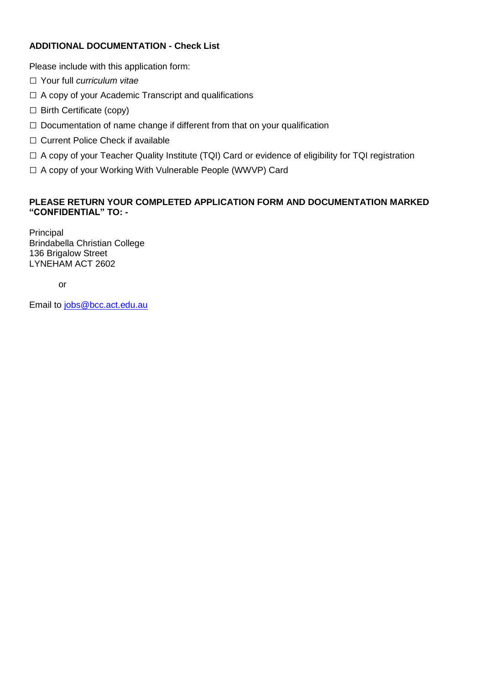# **ADDITIONAL DOCUMENTATION - Check List**

Please include with this application form:

- □ Your full *curriculum vitae*
- $\Box$  A copy of your Academic Transcript and qualifications
- □ Birth Certificate (copy)
- $\Box$  Documentation of name change if different from that on your qualification
- □ Current Police Check if available
- □ A copy of your Teacher Quality Institute (TQI) Card or evidence of eligibility for TQI registration
- □ A copy of your Working With Vulnerable People (WWVP) Card

# **PLEASE RETURN YOUR COMPLETED APPLICATION FORM AND DOCUMENTATION MARKED "CONFIDENTIAL" TO: -**

Principal Brindabella Christian College 136 Brigalow Street LYNEHAM ACT 2602

or

Email to [jobs@bcc.act.edu.au](mailto:jobs@bcc.act.edu.au)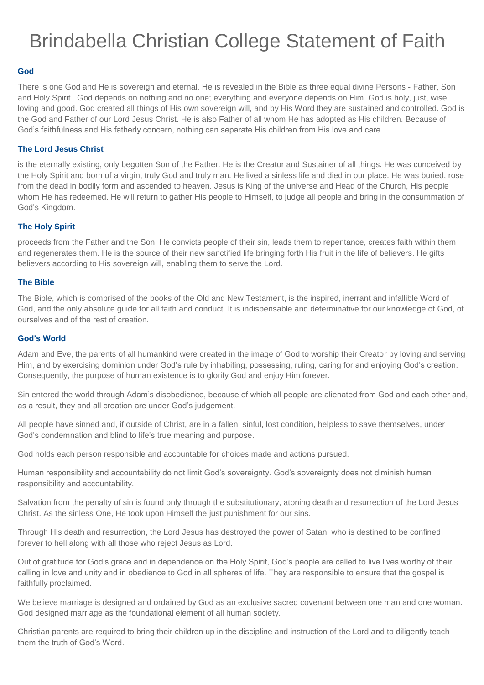# Brindabella Christian College Statement of Faith

### **God**

There is one God and He is sovereign and eternal. He is revealed in the Bible as three equal divine Persons - Father, Son and Holy Spirit. God depends on nothing and no one; everything and everyone depends on Him. God is holy, just, wise, loving and good. God created all things of His own sovereign will, and by His Word they are sustained and controlled. God is the God and Father of our Lord Jesus Christ. He is also Father of all whom He has adopted as His children. Because of God's faithfulness and His fatherly concern, nothing can separate His children from His love and care.

### **The Lord Jesus Christ**

is the eternally existing, only begotten Son of the Father. He is the Creator and Sustainer of all things. He was conceived by the Holy Spirit and born of a virgin, truly God and truly man. He lived a sinless life and died in our place. He was buried, rose from the dead in bodily form and ascended to heaven. Jesus is King of the universe and Head of the Church, His people whom He has redeemed. He will return to gather His people to Himself, to judge all people and bring in the consummation of God's Kingdom.

### **The Holy Spirit**

proceeds from the Father and the Son. He convicts people of their sin, leads them to repentance, creates faith within them and regenerates them. He is the source of their new sanctified life bringing forth His fruit in the life of believers. He gifts believers according to His sovereign will, enabling them to serve the Lord.

### **The Bible**

The Bible, which is comprised of the books of the Old and New Testament, is the inspired, inerrant and infallible Word of God, and the only absolute guide for all faith and conduct. It is indispensable and determinative for our knowledge of God, of ourselves and of the rest of creation.

#### **God's World**

Adam and Eve, the parents of all humankind were created in the image of God to worship their Creator by loving and serving Him, and by exercising dominion under God's rule by inhabiting, possessing, ruling, caring for and enjoying God's creation. Consequently, the purpose of human existence is to glorify God and enjoy Him forever.

Sin entered the world through Adam's disobedience, because of which all people are alienated from God and each other and, as a result, they and all creation are under God's judgement.

All people have sinned and, if outside of Christ, are in a fallen, sinful, lost condition, helpless to save themselves, under God's condemnation and blind to life's true meaning and purpose.

God holds each person responsible and accountable for choices made and actions pursued.

Human responsibility and accountability do not limit God's sovereignty. God's sovereignty does not diminish human responsibility and accountability.

Salvation from the penalty of sin is found only through the substitutionary, atoning death and resurrection of the Lord Jesus Christ. As the sinless One, He took upon Himself the just punishment for our sins.

Through His death and resurrection, the Lord Jesus has destroyed the power of Satan, who is destined to be confined forever to hell along with all those who reject Jesus as Lord.

Out of gratitude for God's grace and in dependence on the Holy Spirit, God's people are called to live lives worthy of their calling in love and unity and in obedience to God in all spheres of life. They are responsible to ensure that the gospel is faithfully proclaimed.

We believe marriage is designed and ordained by God as an exclusive sacred covenant between one man and one woman. God designed marriage as the foundational element of all human society.

Christian parents are required to bring their children up in the discipline and instruction of the Lord and to diligently teach them the truth of God's Word.